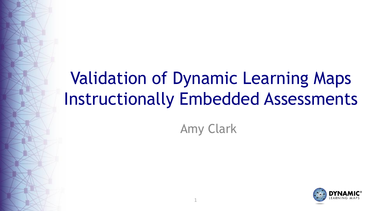## Validation of Dynamic Learning Maps Instructionally Embedded Assessments

### Amy Clark

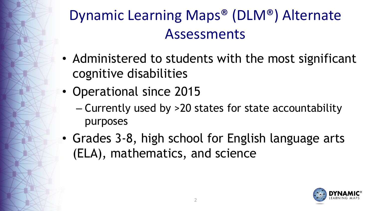## Dynamic Learning Maps® (DLM®) Alternate Assessments

- Administered to students with the most significant cognitive disabilities
- Operational since 2015
	- Currently used by >20 states for state accountability purposes
- Grades 3-8, high school for English language arts (ELA), mathematics, and science

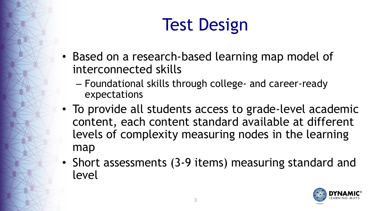# Test Design

- Based on a research-based learning map model of interconnected skills
	- Foundational skills through college- and career-ready expectations
- To provide all students access to grade-level academic content, each content standard available at different levels of complexity measuring nodes in the learning map
- Short assessments (3-9 items) measuring standard and level

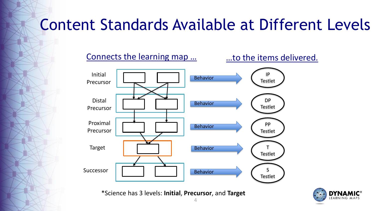## Content Standards Available at Different Levels

Connects the learning map ... **Easily** ... to the items delivered.



\*Science has 3 levels: **Initial**, **Precursor**, and **Target**

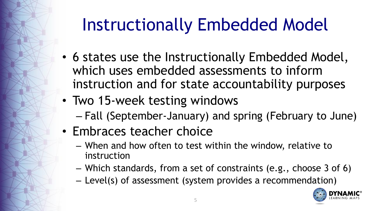## Instructionally Embedded Model

- 6 states use the Instructionally Embedded Model, which uses embedded assessments to inform instruction and for state accountability purposes
- Two 15-week testing windows
	- Fall (September-January) and spring (February to June)
- Embraces teacher choice
	- When and how often to test within the window, relative to instruction
	- Which standards, from a set of constraints (e.g., choose 3 of 6)
	- Level(s) of assessment (system provides a recommendation)

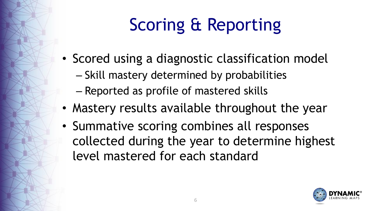# Scoring & Reporting

- Scored using a diagnostic classification model
	- Skill mastery determined by probabilities
	- Reported as profile of mastered skills
- Mastery results available throughout the year
- Summative scoring combines all responses collected during the year to determine highest level mastered for each standard

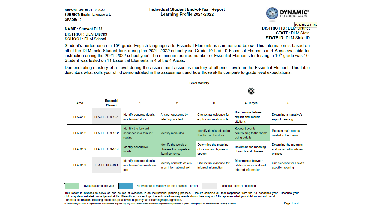| <b>REPORT DATE: 01-19-2022</b>        |  |  |  |  |  |  |
|---------------------------------------|--|--|--|--|--|--|
| <b>SUBJECT: English language arts</b> |  |  |  |  |  |  |
| <b>GRADE: 10</b>                      |  |  |  |  |  |  |

**Individual Student End-of-Year Report** Learning Profile 2021-2022



**NAME: Student DLM DISTRICT: DLM District SCHOOL: DLM School** 

**Dynamic Learning DISTRICT ID: DLM DISTRICT STATE: DLM State STATE ID: DLM State ID** 

Student's performance in 10<sup>th</sup> grade English language arts Essential Elements is summarized below. This information is based on all of the DLM tests Student took during the 2021-2022 school year. Grade 10 had 19 Essential Elements in 4 Areas available for instruction during the 2021–2022 school year. The minimum required number of Essential Elements for testing in 10<sup>th</sup> grade was 10. Student was tested on 11 Essential Elements in 4 of the 4 Areas.

Demonstrating mastery of a Level during the assessment assumes mastery of all prior Levels in the Essential Element. This table describes what skills your child demonstrated in the assessment and how those skills compare to grade level expectations.

|                 |                                    | <b>Level Mastery</b>                                             |                                                                    |                                                             |                                                                            |                                                             |
|-----------------|------------------------------------|------------------------------------------------------------------|--------------------------------------------------------------------|-------------------------------------------------------------|----------------------------------------------------------------------------|-------------------------------------------------------------|
|                 |                                    |                                                                  |                                                                    |                                                             |                                                                            |                                                             |
| Area            | <b>Essential</b><br><b>Element</b> |                                                                  | 2                                                                  | з                                                           | 4 (Target)                                                                 | 5                                                           |
| <b>ELA.C1.2</b> | ELA.EE.RL.9-10.1                   | Identify concrete details<br>in a familiar story                 | Answer questions by<br>referring to a text                         | Cite textual evidence for<br>explicit information in text   | Discriminate between<br>explicit and implicit<br>citations                 | Determine a narrative's<br>explicit meaning                 |
| <b>ELA.C1.2</b> | ELA.EE.RL.9-10.2                   | Identify the forward<br>sequence in a familiar<br>routine        | Identify main idea                                                 | Identify details related to<br>the theme of a story         | Recount events<br>contributing to the theme<br>using details               | Recount main events<br>related to the theme                 |
| <b>ELA.C1.2</b> | ELA.EE.RL.9-10.4                   | Identify descriptive<br>words                                    | Identify the words or<br>phrases to complete a<br>literal sentence | Determine the meaning<br>of idioms and figures of<br>speech | Determine the meaning<br>of words and phrases                              | Determine the meaning<br>and impact of words and<br>phrases |
| <b>ELA.C1.2</b> | ELA.EE.RI.9-10.1                   | Identify concrete details<br>in a familiar informational<br>text | Identify concrete details<br>in an informational text              | Cite textual evidence for<br>inferred information           | Discriminate between<br>citations for explicit and<br>inferred information | Cite evidence for a text's<br>specific meaning              |

Levels mastered this vear

No evidence of mastery on this Essential Element

**Essential Element not tested** 

This report is intended to serve as one source of evidence in an instructional planning process. Results combine all item responses from the full academic year. Because your child may demonstrate knowledge and skills differently across settings, the estimated mastery results shown here may not fully represent what your child knows and can do. For more information, including resources, please visit https://dynamiclearningmaps.org/states.

@ The University of Kansas. All rights reserved. For educational purposes only. May not be used for commercial or other purposes without permission. "Dynamic Learning Maps" is a trademark of The University of Kansas.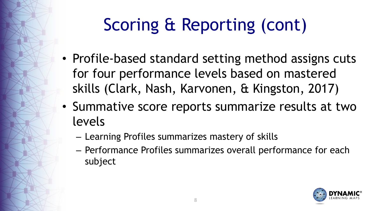# Scoring & Reporting (cont)

- Profile-based standard setting method assigns cuts for four performance levels based on mastered skills (Clark, Nash, Karvonen, & Kingston, 2017)
- Summative score reports summarize results at two levels
	- Learning Profiles summarizes mastery of skills
	- Performance Profiles summarizes overall performance for each subject

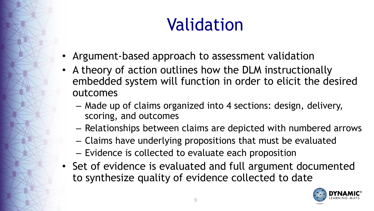## Validation

- Argument-based approach to assessment validation
- A theory of action outlines how the DLM instructionally embedded system will function in order to elicit the desired outcomes
	- Made up of claims organized into 4 sections: design, delivery, scoring, and outcomes
	- Relationships between claims are depicted with numbered arrows
	- Claims have underlying propositions that must be evaluated
	- Evidence is collected to evaluate each proposition
- Set of evidence is evaluated and full argument documented to synthesize quality of evidence collected to date

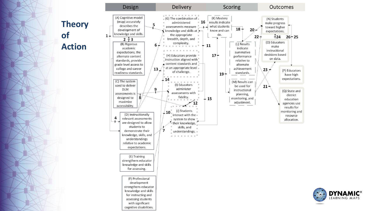#### **Theory of Action**



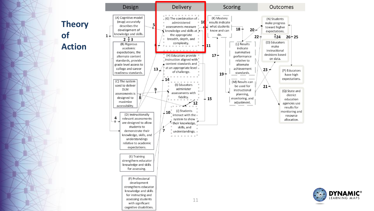#### **Theory of Action**



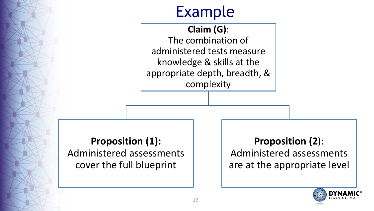### Example

**Claim (G)**: The combination of administered tests measure knowledge & skills at the appropriate depth, breadth, & complexity

#### **Proposition (1):**  Administered assessments cover the full blueprint

**Proposition (2**): Administered assessments are at the appropriate level

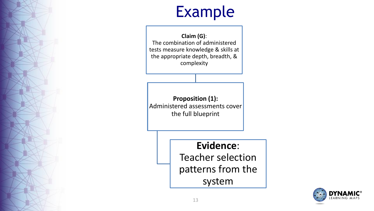### Example

**Claim (G)**: The combination of administered tests measure knowledge & skills at the appropriate depth, breadth, & complexity

**Proposition (1):**  Administered assessments cover the full blueprint

#### **Evidence**:

Teacher selection patterns from the system

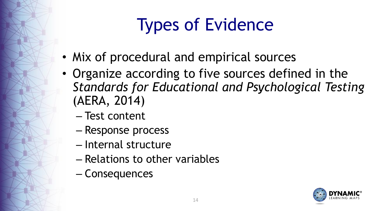# Types of Evidence

- Mix of procedural and empirical sources
- Organize according to five sources defined in the *Standards for Educational and Psychological Testing*  (AERA, 2014)
	- Test content
	- Response process
	- Internal structure
	- Relations to other variables
	- Consequences

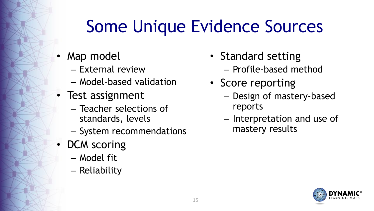## Some Unique Evidence Sources

- Map model
	- External review
	- Model-based validation
- Test assignment
	- Teacher selections of standards, levels
	- System recommendations
- DCM scoring
	- Model fit
	- Reliability
- Standard setting – Profile-based method
- Score reporting
	- Design of mastery-based reports
	- Interpretation and use of mastery results

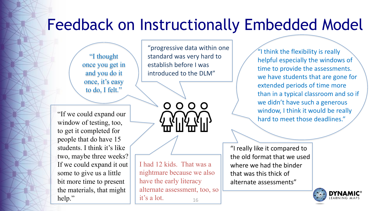### Feedback on Instructionally Embedded Model

"I thought once you get in and you do it once, it's easy to do, I felt."

"progressive data within one standard was very hard to establish before I was introduced to the DLM"

0000

"If we could expand our window of testing, too, to get it completed for people that do have 15 students. I think it's like two, maybe three weeks? If we could expand it out some to give us a little bit more time to present the materials, that might help."

16 I had 12 kids. That was a nightmare because we also have the early literacy alternate assessment, too, so it's a lot.

"I think the flexibility is really helpful especially the windows of time to provide the assessments. we have students that are gone for extended periods of time more than in a typical classroom and so if we didn't have such a generous window, I think it would be really hard to meet those deadlines."

"I really like it compared to the old format that we used where we had the binder that was this thick of alternate assessments"

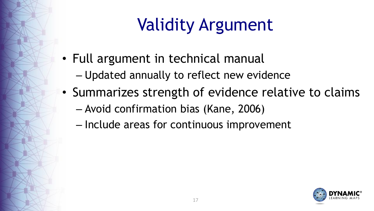# Validity Argument

- Full argument in technical manual
	- Updated annually to reflect new evidence
- Summarizes strength of evidence relative to claims
	- Avoid confirmation bias (Kane, 2006)
	- Include areas for continuous improvement